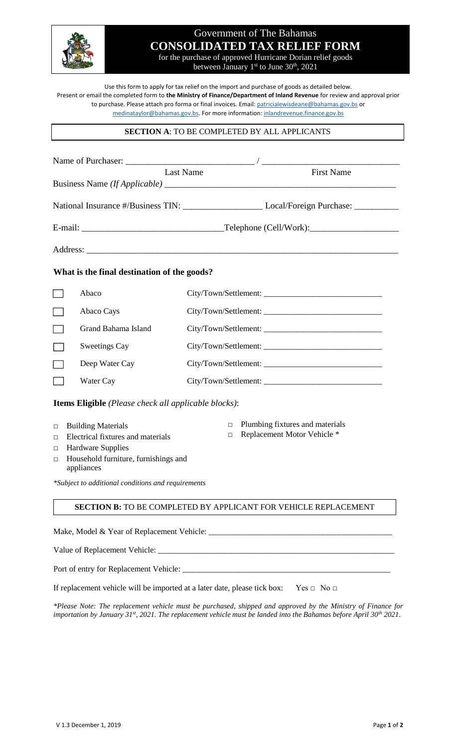

# Government of The Bahamas **CONSOLIDATED TAX RELIEF FORM** for the purchase of approved Hurricane Dorian relief goods

between January 1<sup>st</sup> to June 30<sup>th</sup>, 2021

Use this form to apply for tax relief on the import and purchase of goods as detailed below. Present or email the completed form to **the Ministry of Finance/Department of Inland Revenue** for review and approval prior to purchase. Please attach pro forma or final invoices. Email[: patricialewisdeane@bahamas.gov.bs](mailto:patricialewisdeane@bahamas.gov.bs) or [medinataylor@bahamas.gov.bs.](mailto:medinataylor@bahamas.gov.bs) For more information: [inlandrevenue.finance.gov.bs](https://inlandrevenue.finance.gov.bs/)

## **SECTION A**: TO BE COMPLETED BY ALL APPLICANTS

|                                                                                                                                                                                                                                                                      |                      | <b>Last Name</b><br><b>First Name</b>                                                                |  |  |
|----------------------------------------------------------------------------------------------------------------------------------------------------------------------------------------------------------------------------------------------------------------------|----------------------|------------------------------------------------------------------------------------------------------|--|--|
|                                                                                                                                                                                                                                                                      |                      | National Insurance #/Business TIN: ______________________________Local/Foreign Purchase: ___________ |  |  |
|                                                                                                                                                                                                                                                                      |                      |                                                                                                      |  |  |
|                                                                                                                                                                                                                                                                      |                      |                                                                                                      |  |  |
| What is the final destination of the goods?                                                                                                                                                                                                                          |                      |                                                                                                      |  |  |
|                                                                                                                                                                                                                                                                      | Abaco                |                                                                                                      |  |  |
|                                                                                                                                                                                                                                                                      | Abaco Cays           |                                                                                                      |  |  |
|                                                                                                                                                                                                                                                                      | Grand Bahama Island  |                                                                                                      |  |  |
|                                                                                                                                                                                                                                                                      | <b>Sweetings Cay</b> |                                                                                                      |  |  |
|                                                                                                                                                                                                                                                                      | Deep Water Cay       |                                                                                                      |  |  |
|                                                                                                                                                                                                                                                                      | Water Cay            |                                                                                                      |  |  |
| Items Eligible (Please check all applicable blocks):                                                                                                                                                                                                                 |                      |                                                                                                      |  |  |
| Plumbing fixtures and materials<br>$\Box$<br><b>Building Materials</b><br>$\Box$<br>Replacement Motor Vehicle *<br>$\Box$<br>Electrical fixtures and materials<br>□<br><b>Hardware Supplies</b><br>□<br>Household furniture, furnishings and<br>$\Box$<br>appliances |                      |                                                                                                      |  |  |
| *Subject to additional conditions and requirements                                                                                                                                                                                                                   |                      |                                                                                                      |  |  |
|                                                                                                                                                                                                                                                                      |                      | <b>SECTION B:</b> TO BE COMPLETED BY APPLICANT FOR VEHICLE REPLACEMENT                               |  |  |
|                                                                                                                                                                                                                                                                      |                      |                                                                                                      |  |  |
|                                                                                                                                                                                                                                                                      |                      |                                                                                                      |  |  |
|                                                                                                                                                                                                                                                                      |                      |                                                                                                      |  |  |

If replacement vehicle will be imported at a later date, please tick box: Yes  $\Box$  No  $\Box$ 

*\*Please Note: The replacement vehicle must be purchased, shipped and approved by the Ministry of Finance for importation by January 31st, 2021. The replacement vehicle must be landed into the Bahamas before April 30th 2021.*